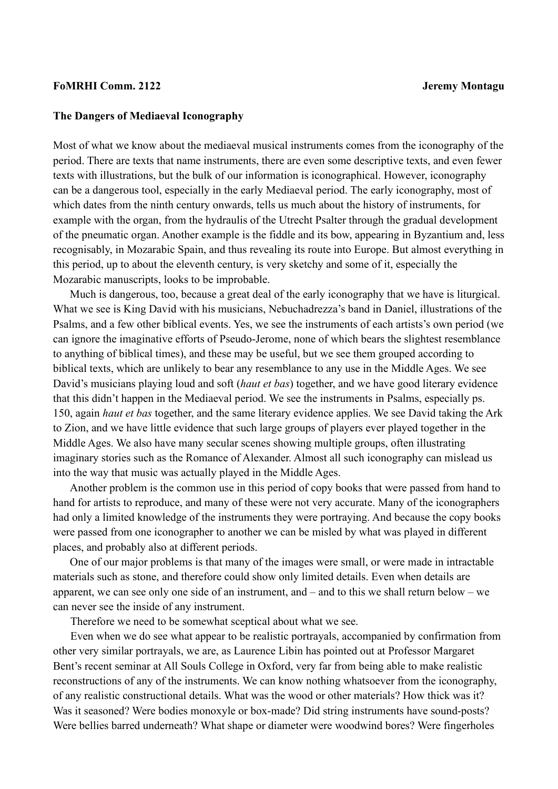## **FoMRHI Comm. 2122 Jeremy Montagu**

## **The Dangers of Mediaeval Iconography**

Most of what we know about the mediaeval musical instruments comes from the iconography of the period. There are texts that name instruments, there are even some descriptive texts, and even fewer texts with illustrations, but the bulk of our information is iconographical. However, iconography can be a dangerous tool, especially in the early Mediaeval period. The early iconography, most of which dates from the ninth century onwards, tells us much about the history of instruments, for example with the organ, from the hydraulis of the Utrecht Psalter through the gradual development of the pneumatic organ. Another example is the fiddle and its bow, appearing in Byzantium and, less recognisably, in Mozarabic Spain, and thus revealing its route into Europe. But almost everything in this period, up to about the eleventh century, is very sketchy and some of it, especially the Mozarabic manuscripts, looks to be improbable.

Much is dangerous, too, because a great deal of the early iconography that we have is liturgical. What we see is King David with his musicians, Nebuchadrezza's band in Daniel, illustrations of the Psalms, and a few other biblical events. Yes, we see the instruments of each artists's own period (we can ignore the imaginative efforts of Pseudo-Jerome, none of which bears the slightest resemblance to anything of biblical times), and these may be useful, but we see them grouped according to biblical texts, which are unlikely to bear any resemblance to any use in the Middle Ages. We see David's musicians playing loud and soft (*haut et bas*) together, and we have good literary evidence that this didn't happen in the Mediaeval period. We see the instruments in Psalms, especially ps. 150, again *haut et bas* together, and the same literary evidence applies. We see David taking the Ark to Zion, and we have little evidence that such large groups of players ever played together in the Middle Ages. We also have many secular scenes showing multiple groups, often illustrating imaginary stories such as the Romance of Alexander. Almost all such iconography can mislead us into the way that music was actually played in the Middle Ages.

Another problem is the common use in this period of copy books that were passed from hand to hand for artists to reproduce, and many of these were not very accurate. Many of the iconographers had only a limited knowledge of the instruments they were portraying. And because the copy books were passed from one iconographer to another we can be misled by what was played in different places, and probably also at different periods.

One of our major problems is that many of the images were small, or were made in intractable materials such as stone, and therefore could show only limited details. Even when details are apparent, we can see only one side of an instrument, and – and to this we shall return below – we can never see the inside of any instrument.

Therefore we need to be somewhat sceptical about what we see.

Even when we do see what appear to be realistic portrayals, accompanied by confirmation from other very similar portrayals, we are, as Laurence Libin has pointed out at Professor Margaret Bent's recent seminar at All Souls College in Oxford, very far from being able to make realistic reconstructions of any of the instruments. We can know nothing whatsoever from the iconography, of any realistic constructional details. What was the wood or other materials? How thick was it? Was it seasoned? Were bodies monoxyle or box-made? Did string instruments have sound-posts? Were bellies barred underneath? What shape or diameter were woodwind bores? Were fingerholes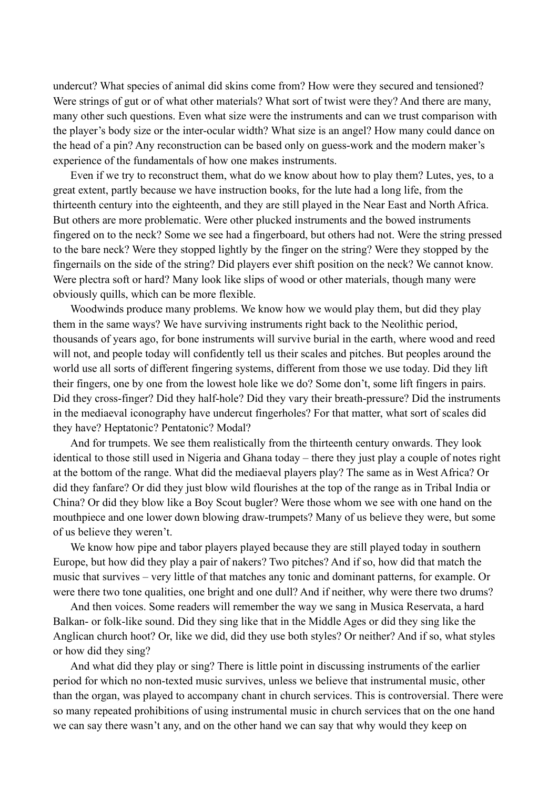undercut? What species of animal did skins come from? How were they secured and tensioned? Were strings of gut or of what other materials? What sort of twist were they? And there are many, many other such questions. Even what size were the instruments and can we trust comparison with the player's body size or the inter-ocular width? What size is an angel? How many could dance on the head of a pin? Any reconstruction can be based only on guess-work and the modern maker's experience of the fundamentals of how one makes instruments.

Even if we try to reconstruct them, what do we know about how to play them? Lutes, yes, to a great extent, partly because we have instruction books, for the lute had a long life, from the thirteenth century into the eighteenth, and they are still played in the Near East and North Africa. But others are more problematic. Were other plucked instruments and the bowed instruments fingered on to the neck? Some we see had a fingerboard, but others had not. Were the string pressed to the bare neck? Were they stopped lightly by the finger on the string? Were they stopped by the fingernails on the side of the string? Did players ever shift position on the neck? We cannot know. Were plectra soft or hard? Many look like slips of wood or other materials, though many were obviously quills, which can be more flexible.

Woodwinds produce many problems. We know how we would play them, but did they play them in the same ways? We have surviving instruments right back to the Neolithic period, thousands of years ago, for bone instruments will survive burial in the earth, where wood and reed will not, and people today will confidently tell us their scales and pitches. But peoples around the world use all sorts of different fingering systems, different from those we use today. Did they lift their fingers, one by one from the lowest hole like we do? Some don't, some lift fingers in pairs. Did they cross-finger? Did they half-hole? Did they vary their breath-pressure? Did the instruments in the mediaeval iconography have undercut fingerholes? For that matter, what sort of scales did they have? Heptatonic? Pentatonic? Modal?

And for trumpets. We see them realistically from the thirteenth century onwards. They look identical to those still used in Nigeria and Ghana today – there they just play a couple of notes right at the bottom of the range. What did the mediaeval players play? The same as in West Africa? Or did they fanfare? Or did they just blow wild flourishes at the top of the range as in Tribal India or China? Or did they blow like a Boy Scout bugler? Were those whom we see with one hand on the mouthpiece and one lower down blowing draw-trumpets? Many of us believe they were, but some of us believe they weren't.

We know how pipe and tabor players played because they are still played today in southern Europe, but how did they play a pair of nakers? Two pitches? And if so, how did that match the music that survives – very little of that matches any tonic and dominant patterns, for example. Or were there two tone qualities, one bright and one dull? And if neither, why were there two drums?

And then voices. Some readers will remember the way we sang in Musica Reservata, a hard Balkan- or folk-like sound. Did they sing like that in the Middle Ages or did they sing like the Anglican church hoot? Or, like we did, did they use both styles? Or neither? And if so, what styles or how did they sing?

And what did they play or sing? There is little point in discussing instruments of the earlier period for which no non-texted music survives, unless we believe that instrumental music, other than the organ, was played to accompany chant in church services. This is controversial. There were so many repeated prohibitions of using instrumental music in church services that on the one hand we can say there wasn't any, and on the other hand we can say that why would they keep on